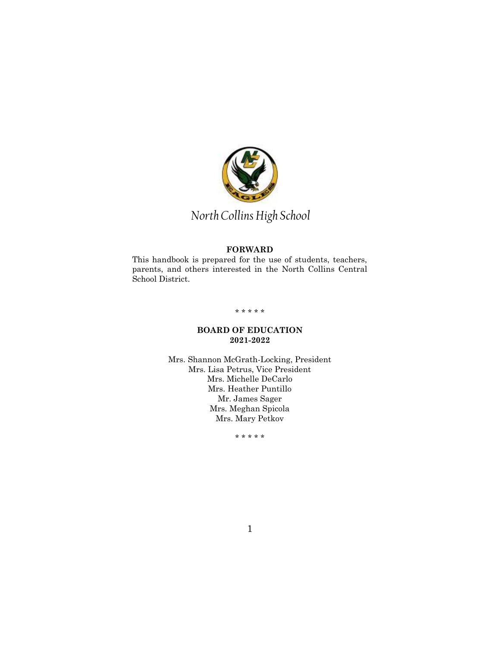

# *North Collins High School*

# **FORWARD**

This handbook is prepared for the use of students, teachers, parents, and others interested in the North Collins Central School District.

# \* \* \* \* \*

# **BOARD OF EDUCATION 2021-2022**

Mrs. Shannon McGrath-Locking, President Mrs. Lisa Petrus, Vice President Mrs. Michelle DeCarlo Mrs. Heather Puntillo Mr. James Sager Mrs. Meghan Spicola Mrs. Mary Petkov

\* \* \* \* \*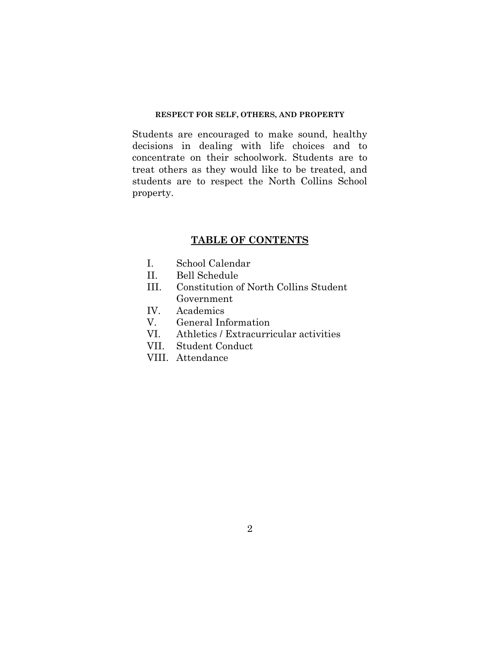# **RESPECT FOR SELF, OTHERS, AND PROPERTY**

Students are encouraged to make sound, healthy decisions in dealing with life choices and to concentrate on their schoolwork. Students are to treat others as they would like to be treated, and students are to respect the North Collins School property.

# **TABLE OF CONTENTS**

- I. School Calendar
- II. Bell Schedule
- III. Constitution of North Collins Student Government
- IV. Academics
- V. General Information
- VI. Athletics / Extracurricular activities
- VII. Student Conduct
- VIII. Attendance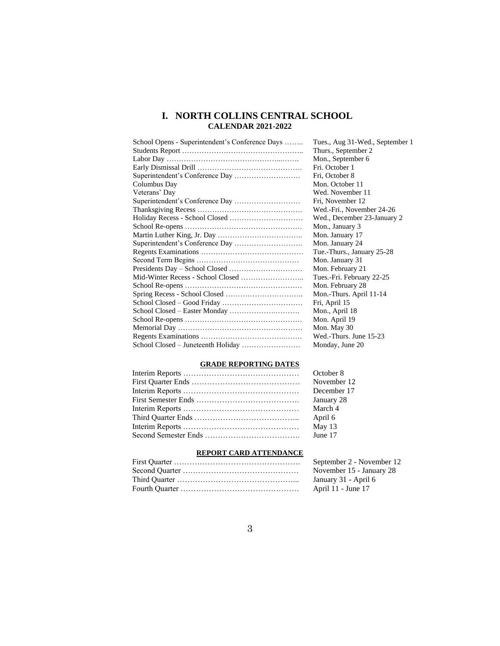# **I. NORTH COLLINS CENTRAL SCHOOL CALENDAR 2021-2022**

| School Opens - Superintendent's Conference Days | Tues., Aug 31-Wed., September 1 |
|-------------------------------------------------|---------------------------------|
|                                                 | Thurs., September 2             |
|                                                 | Mon., September 6               |
|                                                 | Fri. October 1                  |
|                                                 | Fri, October 8                  |
| Columbus Day                                    | Mon. October 11                 |
| Veterans' Day                                   | Wed. November 11                |
|                                                 | Fri, November 12                |
|                                                 | Wed.-Fri., November 24-26       |
|                                                 | Wed., December 23-January 2     |
|                                                 | Mon., January 3                 |
|                                                 | Mon. January 17                 |
|                                                 | Mon. January 24                 |
|                                                 | Tue.-Thurs., January 25-28      |
|                                                 | Mon. January 31                 |
|                                                 | Mon. February 21                |
|                                                 | Tues.-Fri. February 22-25       |
|                                                 | Mon. February 28                |
|                                                 | Mon.-Thurs. April 11-14         |
|                                                 | Fri, April 15                   |
|                                                 | Mon., April 18                  |
|                                                 | Mon. April 19                   |
|                                                 | Mon. May 30                     |
|                                                 | Wed.-Thurs. June 15-23          |
|                                                 | Monday, June 20                 |

# **GRADE REPORTING DATES**

| October 8   |
|-------------|
| November 12 |
| December 17 |
| January 28  |
| March 4     |
| April 6     |
| May 13      |
| June 17     |
|             |

# **REPORT CARD ATTENDANCE**

| September 2 - November 12 |
|---------------------------|
| November 15 - January 28  |
| January 31 - April 6      |
| April 11 - June 17        |
|                           |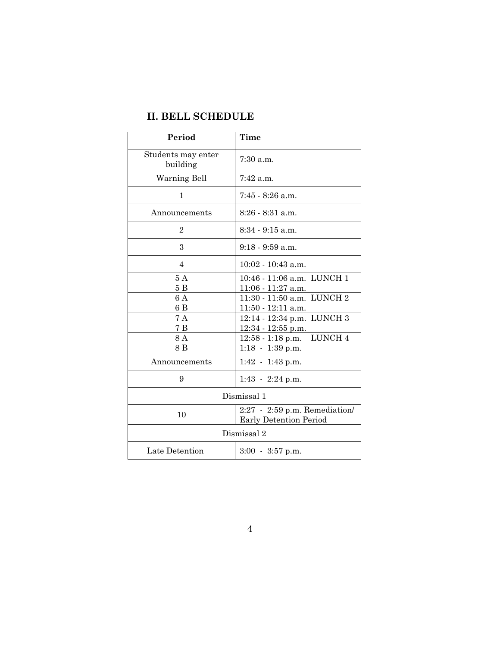# **II. BELL SCHEDULE**

| Period                         | Time                                                    |
|--------------------------------|---------------------------------------------------------|
| Students may enter<br>building | 7:30 a.m.                                               |
| Warning Bell                   | 7:42 a.m.                                               |
| 1                              | $7:45 - 8:26$ a.m.                                      |
| Announcements                  | $8:26 - 8:31$ a.m.                                      |
| $\overline{2}$                 | $8:34 - 9:15$ a.m.                                      |
| 3                              | $9:18 - 9:59$ a.m.                                      |
| $\overline{4}$                 | $10:02 - 10:43$ a.m.                                    |
| 5A<br>5B                       | 10:46 - 11:06 a.m. LUNCH 1<br>$11:06 - 11:27$ a.m.      |
| 6 A<br>6 B                     | 11:30 - 11:50 a.m. LUNCH 2                              |
| 7 A                            | 11:50 - 12:11 a.m.<br>12:14 - 12:34 p.m. LUNCH 3        |
| 7B                             | $12:34 - 12:55$ p.m.                                    |
| 8A                             | 12:58 - 1:18 p.m. LUNCH 4                               |
| 8 B                            | $1:18 - 1:39$ p.m.                                      |
| Announcements                  | $1:42 - 1:43$ p.m.                                      |
| 9                              | $1:43 - 2:24$ p.m.                                      |
| Dismissal 1                    |                                                         |
| 10                             | 2:27 - 2:59 p.m. Remediation/<br>Early Detention Period |
| Dismissal 2                    |                                                         |
| Late Detention                 | $3:00 - 3:57$ p.m.                                      |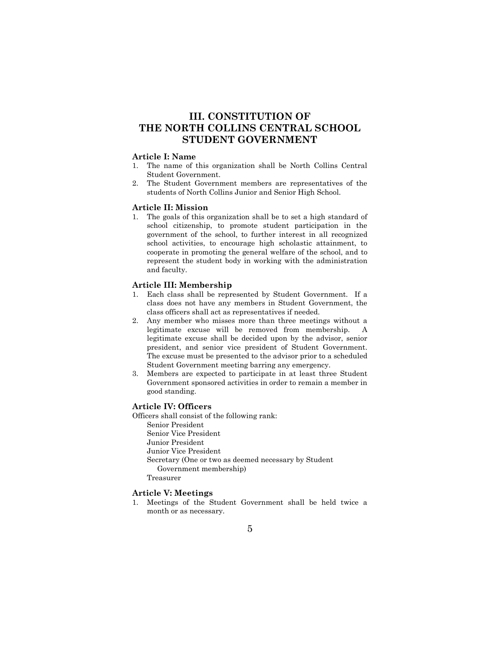# **III. CONSTITUTION OF THE NORTH COLLINS CENTRAL SCHOOL STUDENT GOVERNMENT**

# **Article I: Name**

- 1. The name of this organization shall be North Collins Central Student Government.
- 2. The Student Government members are representatives of the students of North Collins Junior and Senior High School.

#### **Article II: Mission**

1. The goals of this organization shall be to set a high standard of school citizenship, to promote student participation in the government of the school, to further interest in all recognized school activities, to encourage high scholastic attainment, to cooperate in promoting the general welfare of the school, and to represent the student body in working with the administration and faculty.

#### **Article III: Membership**

- 1. Each class shall be represented by Student Government. If a class does not have any members in Student Government, the class officers shall act as representatives if needed.
- 2. Any member who misses more than three meetings without a legitimate excuse will be removed from membership. A legitimate excuse shall be decided upon by the advisor, senior president, and senior vice president of Student Government. The excuse must be presented to the advisor prior to a scheduled Student Government meeting barring any emergency.
- 3. Members are expected to participate in at least three Student Government sponsored activities in order to remain a member in good standing.

#### **Article IV: Officers**

Officers shall consist of the following rank: Senior President Senior Vice President Junior President Junior Vice President Secretary (One or two as deemed necessary by Student Government membership) Treasurer

#### **Article V: Meetings**

1. Meetings of the Student Government shall be held twice a month or as necessary.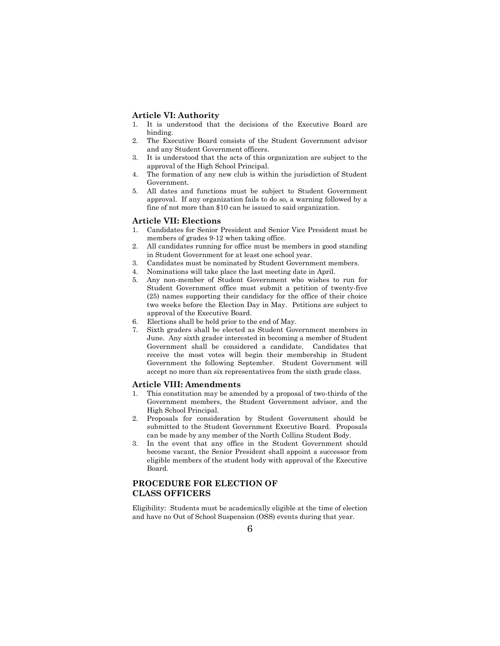#### **Article VI: Authority**

- 1. It is understood that the decisions of the Executive Board are binding.
- 2. The Executive Board consists of the Student Government advisor and any Student Government officers.
- 3. It is understood that the acts of this organization are subject to the approval of the High School Principal.
- 4. The formation of any new club is within the jurisdiction of Student Government.
- 5. All dates and functions must be subject to Student Government approval. If any organization fails to do so, a warning followed by a fine of not more than \$10 can be issued to said organization.

#### **Article VII: Elections**

- 1. Candidates for Senior President and Senior Vice President must be members of grades 9-12 when taking office.
- 2. All candidates running for office must be members in good standing in Student Government for at least one school year.
- 3. Candidates must be nominated by Student Government members.
- 4. Nominations will take place the last meeting date in April.
- 5. Any non-member of Student Government who wishes to run for Student Government office must submit a petition of twenty-five (25) names supporting their candidacy for the office of their choice two weeks before the Election Day in May. Petitions are subject to approval of the Executive Board.
- 6. Elections shall be held prior to the end of May.
- 7. Sixth graders shall be elected as Student Government members in June. Any sixth grader interested in becoming a member of Student Government shall be considered a candidate. Candidates that receive the most votes will begin their membership in Student Government the following September. Student Government will accept no more than six representatives from the sixth grade class.

#### **Article VIII: Amendments**

- 1. This constitution may be amended by a proposal of two-thirds of the Government members, the Student Government advisor, and the High School Principal.
- 2. Proposals for consideration by Student Government should be submitted to the Student Government Executive Board. Proposals can be made by any member of the North Collins Student Body.
- 3. In the event that any office in the Student Government should become vacant, the Senior President shall appoint a successor from eligible members of the student body with approval of the Executive Board.

# **PROCEDURE FOR ELECTION OF CLASS OFFICERS**

Eligibility: Students must be academically eligible at the time of election and have no Out of School Suspension (OSS) events during that year.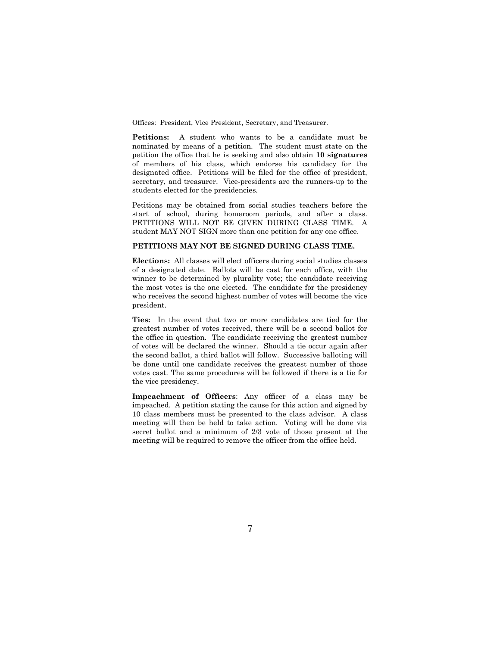Offices: President, Vice President, Secretary, and Treasurer.

**Petitions:** A student who wants to be a candidate must be nominated by means of a petition. The student must state on the petition the office that he is seeking and also obtain **10 signatures** of members of his class, which endorse his candidacy for the designated office. Petitions will be filed for the office of president, secretary, and treasurer. Vice-presidents are the runners-up to the students elected for the presidencies.

Petitions may be obtained from social studies teachers before the start of school, during homeroom periods, and after a class. PETITIONS WILL NOT BE GIVEN DURING CLASS TIME. A student MAY NOT SIGN more than one petition for any one office.

### **PETITIONS MAY NOT BE SIGNED DURING CLASS TIME.**

**Elections:** All classes will elect officers during social studies classes of a designated date. Ballots will be cast for each office, with the winner to be determined by plurality vote; the candidate receiving the most votes is the one elected. The candidate for the presidency who receives the second highest number of votes will become the vice president.

**Ties:** In the event that two or more candidates are tied for the greatest number of votes received, there will be a second ballot for the office in question. The candidate receiving the greatest number of votes will be declared the winner. Should a tie occur again after the second ballot, a third ballot will follow. Successive balloting will be done until one candidate receives the greatest number of those votes cast. The same procedures will be followed if there is a tie for the vice presidency.

**Impeachment of Officers**: Any officer of a class may be impeached. A petition stating the cause for this action and signed by 10 class members must be presented to the class advisor. A class meeting will then be held to take action. Voting will be done via secret ballot and a minimum of 2/3 vote of those present at the meeting will be required to remove the officer from the office held.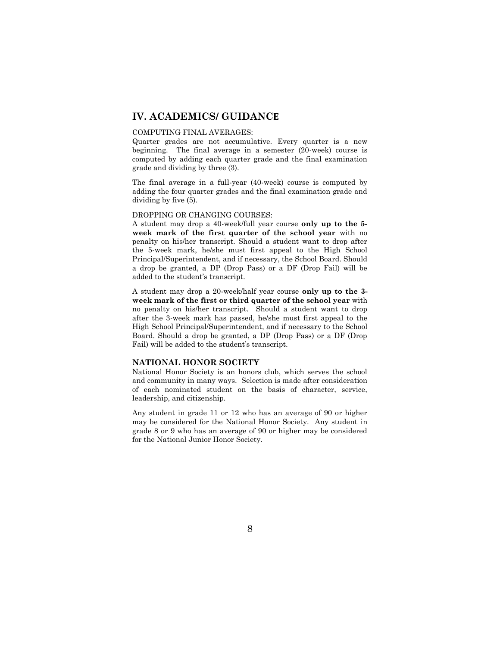# **IV. ACADEMICS/ GUIDANCE**

#### COMPUTING FINAL AVERAGES:

Quarter grades are not accumulative. Every quarter is a new beginning. The final average in a semester (20-week) course is computed by adding each quarter grade and the final examination grade and dividing by three (3).

The final average in a full-year (40-week) course is computed by adding the four quarter grades and the final examination grade and dividing by five (5).

#### DROPPING OR CHANGING COURSES:

A student may drop a 40-week/full year course **only up to the 5 week mark of the first quarter of the school year** with no penalty on his/her transcript. Should a student want to drop after the 5-week mark, he/she must first appeal to the High School Principal/Superintendent, and if necessary, the School Board. Should a drop be granted, a DP (Drop Pass) or a DF (Drop Fail) will be added to the student's transcript.

A student may drop a 20-week/half year course **only up to the 3 week mark of the first or third quarter of the school year** with no penalty on his/her transcript. Should a student want to drop after the 3-week mark has passed, he/she must first appeal to the High School Principal/Superintendent, and if necessary to the School Board. Should a drop be granted, a DP (Drop Pass) or a DF (Drop Fail) will be added to the student's transcript.

#### **NATIONAL HONOR SOCIETY**

National Honor Society is an honors club, which serves the school and community in many ways. Selection is made after consideration of each nominated student on the basis of character, service, leadership, and citizenship.

Any student in grade 11 or 12 who has an average of 90 or higher may be considered for the National Honor Society. Any student in grade 8 or 9 who has an average of 90 or higher may be considered for the National Junior Honor Society.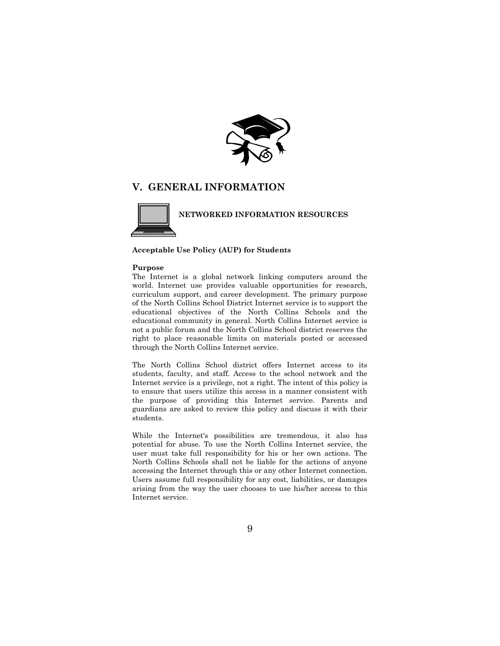

# **V. GENERAL INFORMATION**



 **NETWORKED INFORMATION RESOURCES**

#### **Acceptable Use Policy (AUP) for Students**

#### **Purpose**

The Internet is a global network linking computers around the world. Internet use provides valuable opportunities for research, curriculum support, and career development. The primary purpose of the North Collins School District Internet service is to support the educational objectives of the North Collins Schools and the educational community in general. North Collins Internet service is not a public forum and the North Collins School district reserves the right to place reasonable limits on materials posted or accessed through the North Collins Internet service.

The North Collins School district offers Internet access to its students, faculty, and staff. Access to the school network and the Internet service is a privilege, not a right. The intent of this policy is to ensure that users utilize this access in a manner consistent with the purpose of providing this Internet service. Parents and guardians are asked to review this policy and discuss it with their students.

While the Internet's possibilities are tremendous, it also has potential for abuse. To use the North Collins Internet service, the user must take full responsibility for his or her own actions. The North Collins Schools shall not be liable for the actions of anyone accessing the Internet through this or any other Internet connection. Users assume full responsibility for any cost, liabilities, or damages arising from the way the user chooses to use his/her access to this Internet service.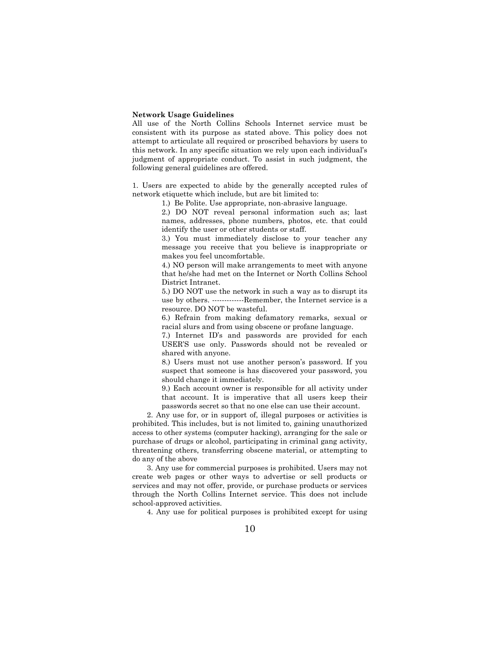#### **Network Usage Guidelines**

All use of the North Collins Schools Internet service must be consistent with its purpose as stated above. This policy does not attempt to articulate all required or proscribed behaviors by users to this network. In any specific situation we rely upon each individual's judgment of appropriate conduct. To assist in such judgment, the following general guidelines are offered.

1. Users are expected to abide by the generally accepted rules of network etiquette which include, but are bit limited to:

1.) Be Polite. Use appropriate, non-abrasive language.

2.) DO NOT reveal personal information such as; last names, addresses, phone numbers, photos, etc. that could identify the user or other students or staff.

3.) You must immediately disclose to your teacher any message you receive that you believe is inappropriate or makes you feel uncomfortable.

4.) NO person will make arrangements to meet with anyone that he/she had met on the Internet or North Collins School District Intranet.

5.) DO NOT use the network in such a way as to disrupt its use by others. -------------Remember, the Internet service is a resource. DO NOT be wasteful.

6.) Refrain from making defamatory remarks, sexual or racial slurs and from using obscene or profane language.

7.) Internet ID's and passwords are provided for each USER'S use only. Passwords should not be revealed or shared with anyone.

8.) Users must not use another person's password. If you suspect that someone is has discovered your password, you should change it immediately.

9.) Each account owner is responsible for all activity under that account. It is imperative that all users keep their passwords secret so that no one else can use their account.

2. Any use for, or in support of, illegal purposes or activities is prohibited. This includes, but is not limited to, gaining unauthorized access to other systems (computer hacking), arranging for the sale or purchase of drugs or alcohol, participating in criminal gang activity, threatening others, transferring obscene material, or attempting to do any of the above

3. Any use for commercial purposes is prohibited. Users may not create web pages or other ways to advertise or sell products or services and may not offer, provide, or purchase products or services through the North Collins Internet service. This does not include school-approved activities.

4. Any use for political purposes is prohibited except for using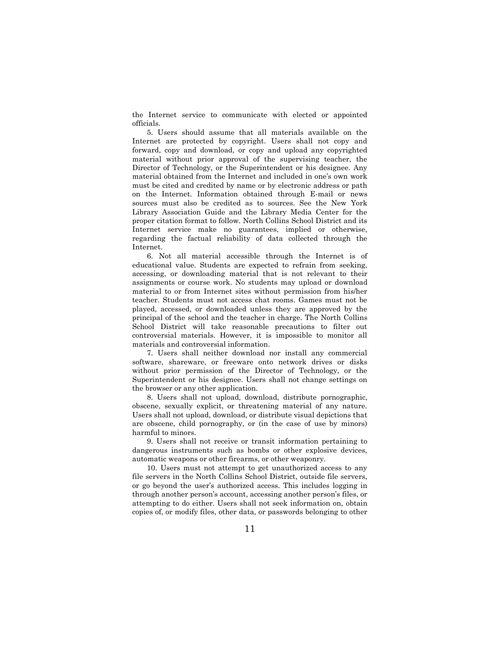the Internet service to communicate with elected or appointed officials.

5. Users should assume that all materials available on the Internet are protected by copyright. Users shall not copy and forward, copy and download, or copy and upload any copyrighted material without prior approval of the supervising teacher, the Director of Technology, or the Superintendent or his designee. Any material obtained from the Internet and included in one's own work must be cited and credited by name or by electronic address or path on the Internet. Information obtained through E-mail or news sources must also be credited as to sources. See the New York Library Association Guide and the Library Media Center for the proper citation format to follow. North Collins School District and its Internet service make no guarantees, implied or otherwise, regarding the factual reliability of data collected through the Internet.

6. Not all material accessible through the Internet is of educational value. Students are expected to refrain from seeking, accessing, or downloading material that is not relevant to their assignments or course work. No students may upload or download material to or from Internet sites without permission from his/her teacher. Students must not access chat rooms. Games must not be played, accessed, or downloaded unless they are approved by the principal of the school and the teacher in charge. The North Collins School District will take reasonable precautions to filter out controversial materials. However, it is impossible to monitor all materials and controversial information.

7. Users shall neither download nor install any commercial software, shareware, or freeware onto network drives or disks without prior permission of the Director of Technology, or the Superintendent or his designee. Users shall not change settings on the browser or any other application.

8. Users shall not upload, download, distribute pornographic, obscene, sexually explicit, or threatening material of any nature. Users shall not upload, download, or distribute visual depictions that are obscene, child pornography, or (in the case of use by minors) harmful to minors.

9. Users shall not receive or transit information pertaining to dangerous instruments such as bombs or other explosive devices, automatic weapons or other firearms, or other weaponry.

10. Users must not attempt to get unauthorized access to any file servers in the North Collins School District, outside file servers, or go beyond the user's authorized access. This includes logging in through another person's account, accessing another person's files, or attempting to do either. Users shall not seek information on, obtain copies of, or modify files, other data, or passwords belonging to other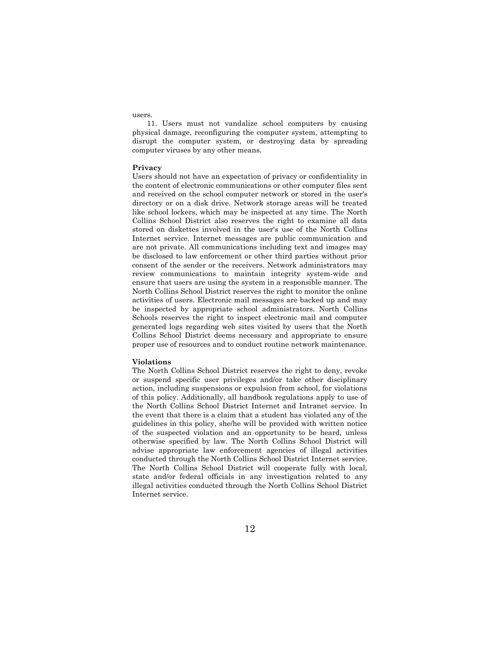users.

11. Users must not vandalize school computers by causing physical damage, reconfiguring the computer system, attempting to disrupt the computer system, or destroying data by spreading computer viruses by any other means.

#### **Privacy**

Users should not have an expectation of privacy or confidentiality in the content of electronic communications or other computer files sent and received on the school computer network or stored in the user's directory or on a disk drive. Network storage areas will be treated like school lockers, which may be inspected at any time. The North Collins School District also reserves the right to examine all data stored on diskettes involved in the user's use of the North Collins Internet service. Internet messages are public communication and are not private. All communications including text and images may be disclosed to law enforcement or other third parties without prior consent of the sender or the receivers. Network administrators may review communications to maintain integrity system-wide and ensure that users are using the system in a responsible manner. The North Collins School District reserves the right to monitor the online activities of users. Electronic mail messages are backed up and may be inspected by appropriate school administrators. North Collins Schools reserves the right to inspect electronic mail and computer generated logs regarding web sites visited by users that the North Collins School District deems necessary and appropriate to ensure proper use of resources and to conduct routine network maintenance.

#### **Violations**

The North Collins School District reserves the right to deny, revoke or suspend specific user privileges and/or take other disciplinary action, including suspensions or expulsion from school, for violations of this policy. Additionally, all handbook regulations apply to use of the North Collins School District Internet and Intranet service. In the event that there is a claim that a student has violated any of the guidelines in this policy, she/he will be provided with written notice of the suspected violation and an opportunity to be heard, unless otherwise specified by law. The North Collins School District will advise appropriate law enforcement agencies of illegal activities conducted through the North Collins School District Internet service. The North Collins School District will cooperate fully with local, state and/or federal officials in any investigation related to any illegal activities conducted through the North Collins School District Internet service.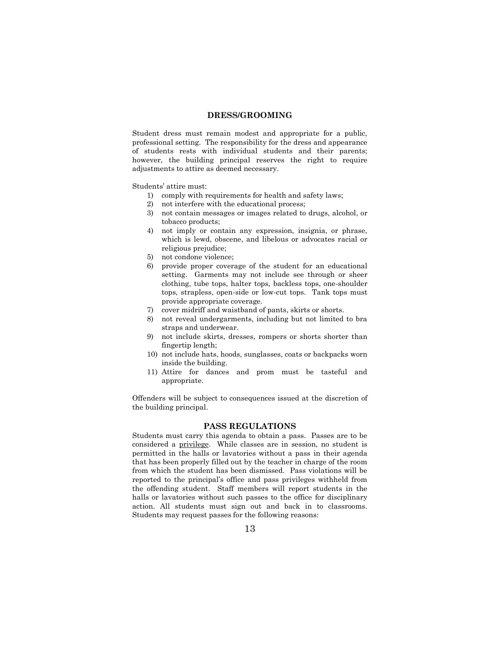#### **DRESS/GROOMING**

Student dress must remain modest and appropriate for a public, professional setting. The responsibility for the dress and appearance of students rests with individual students and their parents; however, the building principal reserves the right to require adjustments to attire as deemed necessary.

Students' attire must:

- 1) comply with requirements for health and safety laws;
- 2) not interfere with the educational process;
- 3) not contain messages or images related to drugs, alcohol, or tobacco products;
- 4) not imply or contain any expression, insignia, or phrase, which is lewd, obscene, and libelous or advocates racial or religious prejudice;
- 5) not condone violence;
- 6) provide proper coverage of the student for an educational setting. Garments may not include see through or sheer clothing, tube tops, halter tops, backless tops, one-shoulder tops, strapless, open-side or low-cut tops. Tank tops must provide appropriate coverage.
- 7) cover midriff and waistband of pants, skirts or shorts.
- 8) not reveal undergarments, including but not limited to bra straps and underwear.
- 9) not include skirts, dresses, rompers or shorts shorter than fingertip length;
- 10) not include hats, hoods, sunglasses, coats or backpacks worn inside the building.
- 11) Attire for dances and prom must be tasteful and appropriate.

Offenders will be subject to consequences issued at the discretion of the building principal.

### **PASS REGULATIONS**

Students must carry this agenda to obtain a pass. Passes are to be considered a privilege. While classes are in session, no student is permitted in the halls or lavatories without a pass in their agenda that has been properly filled out by the teacher in charge of the room from which the student has been dismissed. Pass violations will be reported to the principal's office and pass privileges withheld from the offending student. Staff members will report students in the halls or lavatories without such passes to the office for disciplinary action. All students must sign out and back in to classrooms. Students may request passes for the following reasons: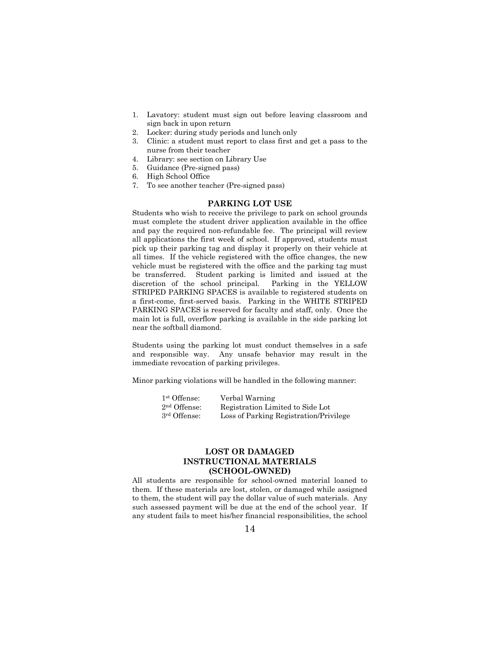- 1. Lavatory: student must sign out before leaving classroom and sign back in upon return
- 2. Locker: during study periods and lunch only
- 3. Clinic: a student must report to class first and get a pass to the nurse from their teacher
- 4. Library: see section on Library Use
- 5. Guidance (Pre-signed pass)
- 6. High School Office
- 7. To see another teacher (Pre-signed pass)

# **PARKING LOT USE**

Students who wish to receive the privilege to park on school grounds must complete the student driver application available in the office and pay the required non-refundable fee. The principal will review all applications the first week of school. If approved, students must pick up their parking tag and display it properly on their vehicle at all times. If the vehicle registered with the office changes, the new vehicle must be registered with the office and the parking tag must be transferred. Student parking is limited and issued at the discretion of the school principal. Parking in the YELLOW STRIPED PARKING SPACES is available to registered students on a first-come, first-served basis. Parking in the WHITE STRIPED PARKING SPACES is reserved for faculty and staff, only. Once the main lot is full, overflow parking is available in the side parking lot near the softball diamond.

Students using the parking lot must conduct themselves in a safe and responsible way. Any unsafe behavior may result in the immediate revocation of parking privileges.

Minor parking violations will be handled in the following manner:

| 1 <sup>st</sup> Offense: | Verbal Warning                         |
|--------------------------|----------------------------------------|
| $2nd$ Offense:           | Registration Limited to Side Lot       |
| 3 <sup>rd</sup> Offense: | Loss of Parking Registration/Privilege |

# **LOST OR DAMAGED INSTRUCTIONAL MATERIALS (SCHOOL-OWNED)**

All students are responsible for school-owned material loaned to them. If these materials are lost, stolen, or damaged while assigned to them, the student will pay the dollar value of such materials. Any such assessed payment will be due at the end of the school year. If any student fails to meet his/her financial responsibilities, the school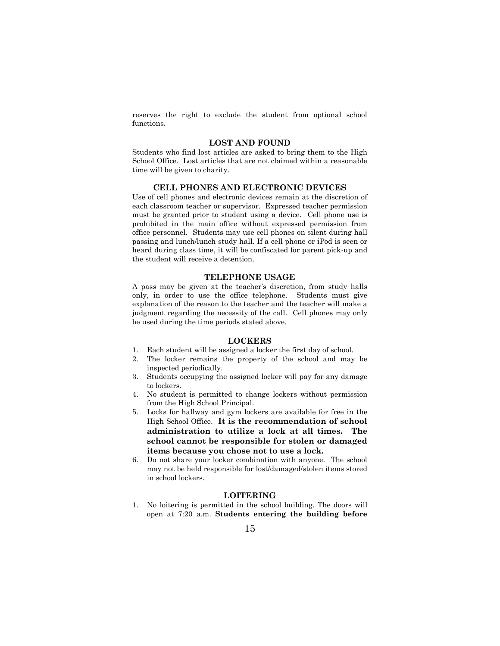reserves the right to exclude the student from optional school functions.

### **LOST AND FOUND**

Students who find lost articles are asked to bring them to the High School Office. Lost articles that are not claimed within a reasonable time will be given to charity.

# **CELL PHONES AND ELECTRONIC DEVICES**

Use of cell phones and electronic devices remain at the discretion of each classroom teacher or supervisor. Expressed teacher permission must be granted prior to student using a device. Cell phone use is prohibited in the main office without expressed permission from office personnel. Students may use cell phones on silent during hall passing and lunch/lunch study hall. If a cell phone or iPod is seen or heard during class time, it will be confiscated for parent pick-up and the student will receive a detention.

#### **TELEPHONE USAGE**

A pass may be given at the teacher's discretion, from study halls only, in order to use the office telephone. Students must give explanation of the reason to the teacher and the teacher will make a judgment regarding the necessity of the call. Cell phones may only be used during the time periods stated above.

#### **LOCKERS**

- 1. Each student will be assigned a locker the first day of school.
- 2. The locker remains the property of the school and may be inspected periodically.
- 3. Students occupying the assigned locker will pay for any damage to lockers.
- 4. No student is permitted to change lockers without permission from the High School Principal.
- 5. Locks for hallway and gym lockers are available for free in the High School Office. **It is the recommendation of school administration to utilize a lock at all times. The school cannot be responsible for stolen or damaged items because you chose not to use a lock.**
- 6. Do not share your locker combination with anyone. The school may not be held responsible for lost/damaged/stolen items stored in school lockers.

#### **LOITERING**

1. No loitering is permitted in the school building. The doors will open at 7:20 a.m. **Students entering the building before**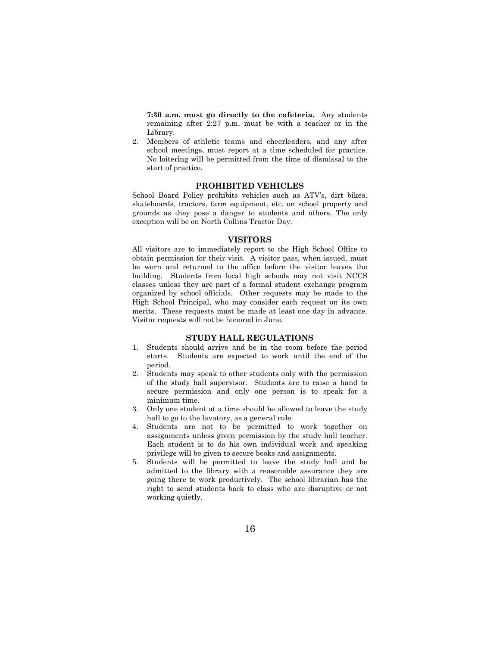**7:30 a.m. must go directly to the cafeteria.** Any students remaining after 2:27 p.m. must be with a teacher or in the Library.

2. Members of athletic teams and cheerleaders, and any after school meetings, must report at a time scheduled for practice. No loitering will be permitted from the time of dismissal to the start of practice.

#### **PROHIBITED VEHICLES**

School Board Policy prohibits vehicles such as ATV's, dirt bikes, skateboards, tractors, farm equipment, etc. on school property and grounds as they pose a danger to students and others. The only exception will be on North Collins Tractor Day.

#### **VISITORS**

All visitors are to immediately report to the High School Office to obtain permission for their visit. A visitor pass, when issued, must be worn and returned to the office before the visitor leaves the building. Students from local high schools may not visit NCCS classes unless they are part of a formal student exchange program organized by school officials. Other requests may be made to the High School Principal, who may consider each request on its own merits. These requests must be made at least one day in advance. Visitor requests will not be honored in June.

#### **STUDY HALL REGULATIONS**

- 1. Students should arrive and be in the room before the period starts. Students are expected to work until the end of the period.
- 2. Students may speak to other students only with the permission of the study hall supervisor. Students are to raise a hand to secure permission and only one person is to speak for a minimum time.
- 3. Only one student at a time should be allowed to leave the study hall to go to the lavatory, as a general rule.
- 4. Students are not to be permitted to work together on assignments unless given permission by the study hall teacher. Each student is to do his own individual work and speaking privilege will be given to secure books and assignments.
- 5. Students will be permitted to leave the study hall and be admitted to the library with a reasonable assurance they are going there to work productively. The school librarian has the right to send students back to class who are disruptive or not working quietly.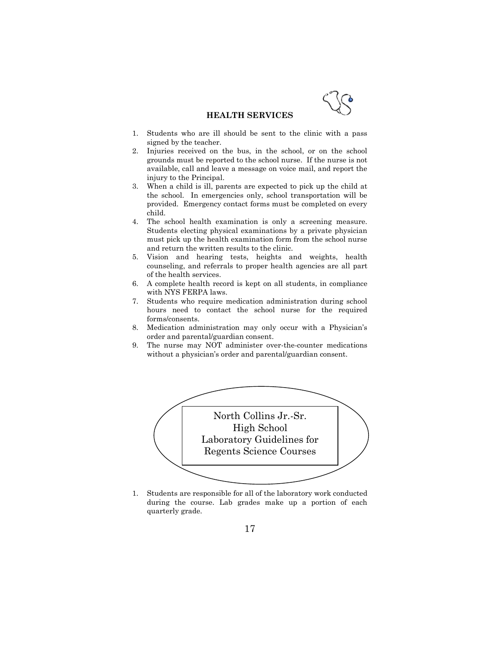

#### **HEALTH SERVICES**

- 1. Students who are ill should be sent to the clinic with a pass signed by the teacher.
- 2. Injuries received on the bus, in the school, or on the school grounds must be reported to the school nurse. If the nurse is not available, call and leave a message on voice mail, and report the injury to the Principal.
- 3. When a child is ill, parents are expected to pick up the child at the school. In emergencies only, school transportation will be provided. Emergency contact forms must be completed on every child.
- 4. The school health examination is only a screening measure. Students electing physical examinations by a private physician must pick up the health examination form from the school nurse and return the written results to the clinic.
- 5. Vision and hearing tests, heights and weights, health counseling, and referrals to proper health agencies are all part of the health services.
- 6. A complete health record is kept on all students, in compliance with NYS FERPA laws.
- 7. Students who require medication administration during school hours need to contact the school nurse for the required forms/consents.
- 8. Medication administration may only occur with a Physician's order and parental/guardian consent.
- 9. The nurse may NOT administer over-the-counter medications without a physician's order and parental/guardian consent.



1. Students are responsible for all of the laboratory work conducted during the course. Lab grades make up a portion of each quarterly grade.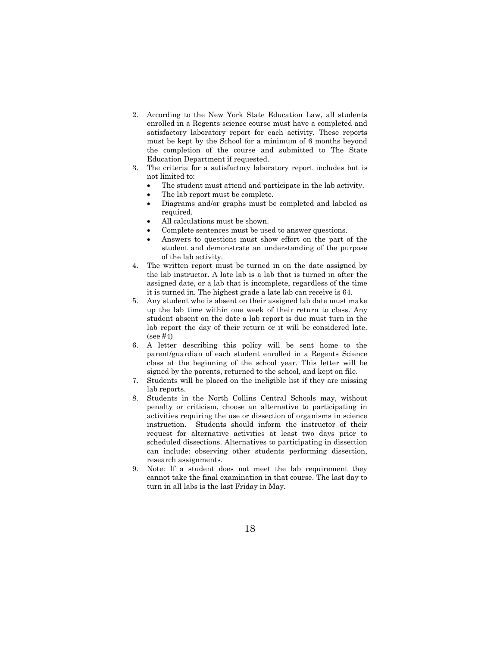- 2. According to the New York State Education Law, all students enrolled in a Regents science course must have a completed and satisfactory laboratory report for each activity. These reports must be kept by the School for a minimum of 6 months beyond the completion of the course and submitted to The State Education Department if requested.
- 3. The criteria for a satisfactory laboratory report includes but is not limited to:
	- The student must attend and participate in the lab activity.
	- The lab report must be complete.
	- Diagrams and/or graphs must be completed and labeled as required.
	- All calculations must be shown.
	- Complete sentences must be used to answer questions.
	- Answers to questions must show effort on the part of the student and demonstrate an understanding of the purpose of the lab activity.
- 4. The written report must be turned in on the date assigned by the lab instructor. A late lab is a lab that is turned in after the assigned date, or a lab that is incomplete, regardless of the time it is turned in. The highest grade a late lab can receive is 64.
- 5. Any student who is absent on their assigned lab date must make up the lab time within one week of their return to class. Any student absent on the date a lab report is due must turn in the lab report the day of their return or it will be considered late. (see #4)
- 6. A letter describing this policy will be sent home to the parent/guardian of each student enrolled in a Regents Science class at the beginning of the school year. This letter will be signed by the parents, returned to the school, and kept on file.
- 7. Students will be placed on the ineligible list if they are missing lab reports.
- 8. Students in the North Collins Central Schools may, without penalty or criticism, choose an alternative to participating in activities requiring the use or dissection of organisms in science instruction. Students should inform the instructor of their request for alternative activities at least two days prior to scheduled dissections. Alternatives to participating in dissection can include: observing other students performing dissection, research assignments.
- 9. Note: If a student does not meet the lab requirement they cannot take the final examination in that course. The last day to turn in all labs is the last Friday in May.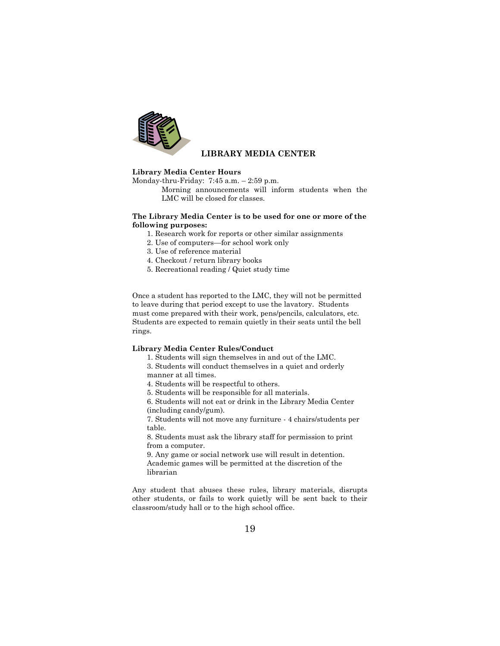

# **LIBRARY MEDIA CENTER**

#### **Library Media Center Hours**

Monday-thru-Friday: 7:45 a.m. – 2:59 p.m.

Morning announcements will inform students when the LMC will be closed for classes.

#### **The Library Media Center is to be used for one or more of the following purposes:**

- 1. Research work for reports or other similar assignments
- 2. Use of computers—for school work only
- 3. Use of reference material
- 4. Checkout / return library books
- 5. Recreational reading / Quiet study time

Once a student has reported to the LMC, they will not be permitted to leave during that period except to use the lavatory. Students must come prepared with their work, pens/pencils, calculators, etc. Students are expected to remain quietly in their seats until the bell rings.

#### **Library Media Center Rules/Conduct**

- 1. Students will sign themselves in and out of the LMC.
- 3. Students will conduct themselves in a quiet and orderly manner at all times.

4. Students will be respectful to others.

5. Students will be responsible for all materials.

6. Students will not eat or drink in the Library Media Center (including candy/gum).

7. Students will not move any furniture - 4 chairs/students per table.

8. Students must ask the library staff for permission to print from a computer.

9. Any game or social network use will result in detention. Academic games will be permitted at the discretion of the librarian

Any student that abuses these rules, library materials, disrupts other students, or fails to work quietly will be sent back to their classroom/study hall or to the high school office.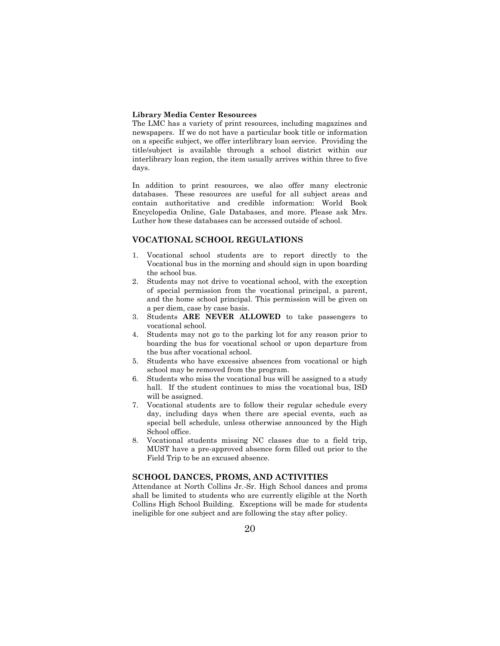#### **Library Media Center Resources**

The LMC has a variety of print resources, including magazines and newspapers. If we do not have a particular book title or information on a specific subject, we offer interlibrary loan service. Providing the title/subject is available through a school district within our interlibrary loan region, the item usually arrives within three to five days.

In addition to print resources, we also offer many electronic databases. These resources are useful for all subject areas and contain authoritative and credible information: World Book Encyclopedia Online, Gale Databases, and more. Please ask Mrs. Luther how these databases can be accessed outside of school.

## **VOCATIONAL SCHOOL REGULATIONS**

- 1. Vocational school students are to report directly to the Vocational bus in the morning and should sign in upon boarding the school bus.
- 2. Students may not drive to vocational school, with the exception of special permission from the vocational principal, a parent, and the home school principal. This permission will be given on a per diem, case by case basis.
- 3. Students **ARE NEVER ALLOWED** to take passengers to vocational school.
- 4. Students may not go to the parking lot for any reason prior to boarding the bus for vocational school or upon departure from the bus after vocational school.
- 5. Students who have excessive absences from vocational or high school may be removed from the program.
- 6. Students who miss the vocational bus will be assigned to a study hall. If the student continues to miss the vocational bus, ISD will be assigned.
- 7. Vocational students are to follow their regular schedule every day, including days when there are special events, such as special bell schedule, unless otherwise announced by the High School office.
- 8. Vocational students missing NC classes due to a field trip, MUST have a pre-approved absence form filled out prior to the Field Trip to be an excused absence.

# **SCHOOL DANCES, PROMS, AND ACTIVITIES**

Attendance at North Collins Jr.-Sr. High School dances and proms shall be limited to students who are currently eligible at the North Collins High School Building. Exceptions will be made for students ineligible for one subject and are following the stay after policy.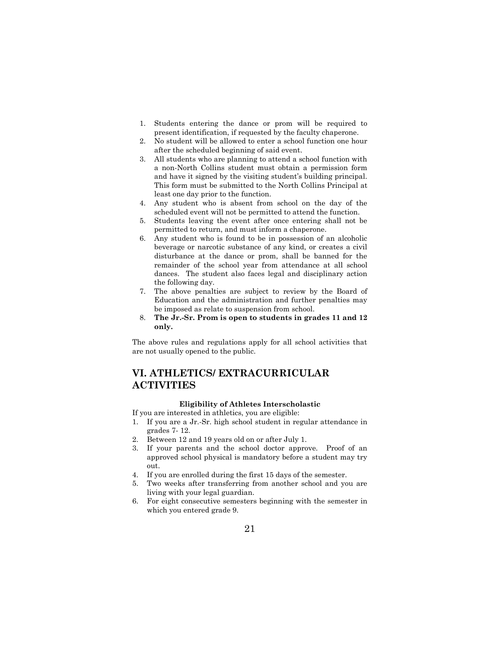- 1. Students entering the dance or prom will be required to present identification, if requested by the faculty chaperone.
- 2. No student will be allowed to enter a school function one hour after the scheduled beginning of said event.
- 3. All students who are planning to attend a school function with a non-North Collins student must obtain a permission form and have it signed by the visiting student's building principal. This form must be submitted to the North Collins Principal at least one day prior to the function.
- 4. Any student who is absent from school on the day of the scheduled event will not be permitted to attend the function.
- 5. Students leaving the event after once entering shall not be permitted to return, and must inform a chaperone.
- 6. Any student who is found to be in possession of an alcoholic beverage or narcotic substance of any kind, or creates a civil disturbance at the dance or prom, shall be banned for the remainder of the school year from attendance at all school dances. The student also faces legal and disciplinary action the following day.
- 7. The above penalties are subject to review by the Board of Education and the administration and further penalties may be imposed as relate to suspension from school.
- 8. **The Jr.-Sr. Prom is open to students in grades 11 and 12 only.**

The above rules and regulations apply for all school activities that are not usually opened to the public.

# **VI. ATHLETICS/ EXTRACURRICULAR ACTIVITIES**

# **Eligibility of Athletes Interscholastic**

If you are interested in athletics, you are eligible:

- 1. If you are a Jr.-Sr. high school student in regular attendance in grades 7- 12.
- 2. Between 12 and 19 years old on or after July 1.
- 3. If your parents and the school doctor approve. Proof of an approved school physical is mandatory before a student may try out.
- 4. If you are enrolled during the first 15 days of the semester.
- 5. Two weeks after transferring from another school and you are living with your legal guardian.
- 6. For eight consecutive semesters beginning with the semester in which you entered grade 9.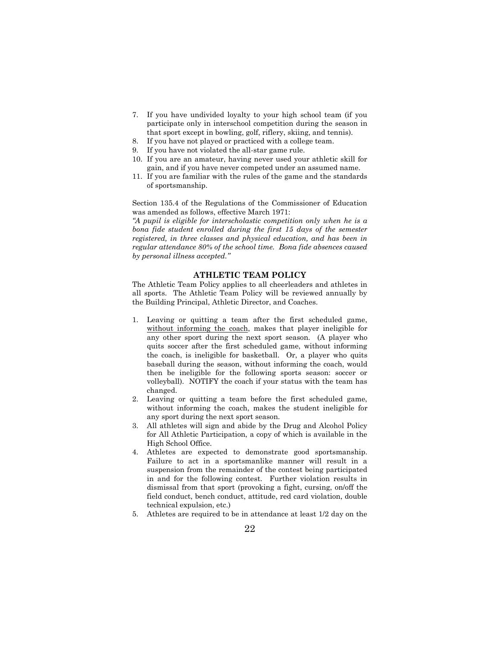- 7. If you have undivided loyalty to your high school team (if you participate only in interschool competition during the season in that sport except in bowling, golf, riflery, skiing, and tennis).
- 8. If you have not played or practiced with a college team.
- If you have not violated the all-star game rule.
- 10. If you are an amateur, having never used your athletic skill for gain, and if you have never competed under an assumed name.
- 11. If you are familiar with the rules of the game and the standards of sportsmanship.

Section 135.4 of the Regulations of the Commissioner of Education was amended as follows, effective March 1971:

*"A pupil is eligible for interscholastic competition only when he is a bona fide student enrolled during the first 15 days of the semester registered, in three classes and physical education, and has been in regular attendance 80% of the school time. Bona fide absences caused by personal illness accepted."*

#### **ATHLETIC TEAM POLICY**

The Athletic Team Policy applies to all cheerleaders and athletes in all sports. The Athletic Team Policy will be reviewed annually by the Building Principal, Athletic Director, and Coaches.

- 1. Leaving or quitting a team after the first scheduled game, without informing the coach, makes that player ineligible for any other sport during the next sport season. (A player who quits soccer after the first scheduled game, without informing the coach, is ineligible for basketball. Or, a player who quits baseball during the season, without informing the coach, would then be ineligible for the following sports season: soccer or volleyball). NOTIFY the coach if your status with the team has changed.
- 2. Leaving or quitting a team before the first scheduled game, without informing the coach, makes the student ineligible for any sport during the next sport season.
- All athletes will sign and abide by the Drug and Alcohol Policy for All Athletic Participation, a copy of which is available in the High School Office.
- 4. Athletes are expected to demonstrate good sportsmanship. Failure to act in a sportsmanlike manner will result in a suspension from the remainder of the contest being participated in and for the following contest. Further violation results in dismissal from that sport (provoking a fight, cursing, on/off the field conduct, bench conduct, attitude, red card violation, double technical expulsion, etc.)
- 5. Athletes are required to be in attendance at least 1/2 day on the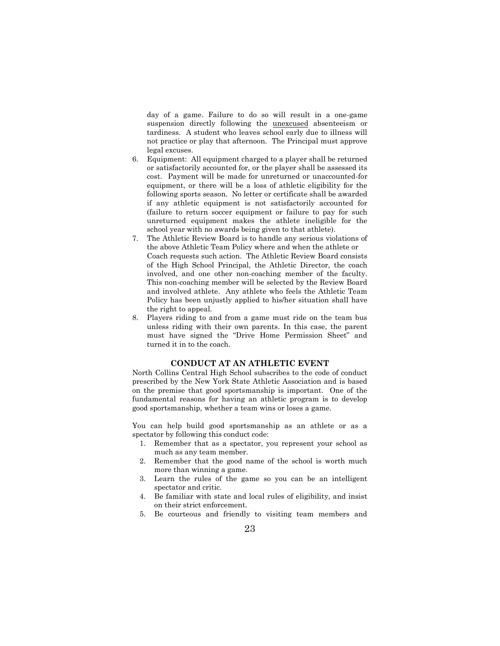day of a game. Failure to do so will result in a one-game suspension directly following the unexcused absenteeism or tardiness. A student who leaves school early due to illness will not practice or play that afternoon. The Principal must approve legal excuses.

- 6. Equipment: All equipment charged to a player shall be returned or satisfactorily accounted for, or the player shall be assessed its cost. Payment will be made for unreturned or unaccounted-for equipment, or there will be a loss of athletic eligibility for the following sports season. No letter or certificate shall be awarded if any athletic equipment is not satisfactorily accounted for (failure to return soccer equipment or failure to pay for such unreturned equipment makes the athlete ineligible for the school year with no awards being given to that athlete).
- 7. The Athletic Review Board is to handle any serious violations of the above Athletic Team Policy where and when the athlete or Coach requests such action. The Athletic Review Board consists of the High School Principal, the Athletic Director, the coach involved, and one other non-coaching member of the faculty. This non-coaching member will be selected by the Review Board and involved athlete. Any athlete who feels the Athletic Team Policy has been unjustly applied to his/her situation shall have the right to appeal.
- 8. Players riding to and from a game must ride on the team bus unless riding with their own parents. In this case, the parent must have signed the "Drive Home Permission Sheet" and turned it in to the coach.

# **CONDUCT AT AN ATHLETIC EVENT**

North Collins Central High School subscribes to the code of conduct prescribed by the New York State Athletic Association and is based on the premise that good sportsmanship is important. One of the fundamental reasons for having an athletic program is to develop good sportsmanship, whether a team wins or loses a game.

You can help build good sportsmanship as an athlete or as a spectator by following this conduct code:

- 1. Remember that as a spectator, you represent your school as much as any team member.
- 2. Remember that the good name of the school is worth much more than winning a game.
- 3. Learn the rules of the game so you can be an intelligent spectator and critic.
- 4. Be familiar with state and local rules of eligibility, and insist on their strict enforcement.
- 5. Be courteous and friendly to visiting team members and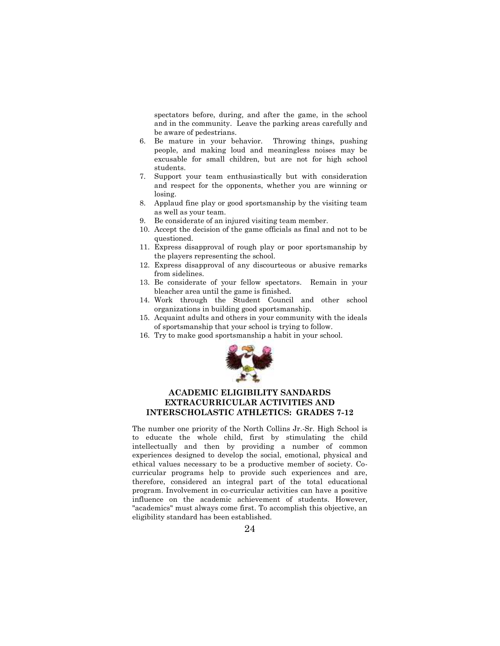spectators before, during, and after the game, in the school and in the community. Leave the parking areas carefully and be aware of pedestrians.

- 6. Be mature in your behavior. Throwing things, pushing people, and making loud and meaningless noises may be excusable for small children, but are not for high school students.
- 7. Support your team enthusiastically but with consideration and respect for the opponents, whether you are winning or losing.
- 8. Applaud fine play or good sportsmanship by the visiting team as well as your team.
- 9. Be considerate of an injured visiting team member.
- 10. Accept the decision of the game officials as final and not to be questioned.
- 11. Express disapproval of rough play or poor sportsmanship by the players representing the school.
- 12. Express disapproval of any discourteous or abusive remarks from sidelines.
- 13. Be considerate of your fellow spectators. Remain in your bleacher area until the game is finished.
- 14. Work through the Student Council and other school organizations in building good sportsmanship.
- 15. Acquaint adults and others in your community with the ideals of sportsmanship that your school is trying to follow.
- 16. Try to make good sportsmanship a habit in your school.



# **ACADEMIC ELIGIBILITY SANDARDS EXTRACURRICULAR ACTIVITIES AND INTERSCHOLASTIC ATHLETICS: GRADES 7-12**

The number one priority of the North Collins Jr.-Sr. High School is to educate the whole child, first by stimulating the child intellectually and then by providing a number of common experiences designed to develop the social, emotional, physical and ethical values necessary to be a productive member of society. Cocurricular programs help to provide such experiences and are, therefore, considered an integral part of the total educational program. Involvement in co-curricular activities can have a positive influence on the academic achievement of students. However, "academics" must always come first. To accomplish this objective, an eligibility standard has been established.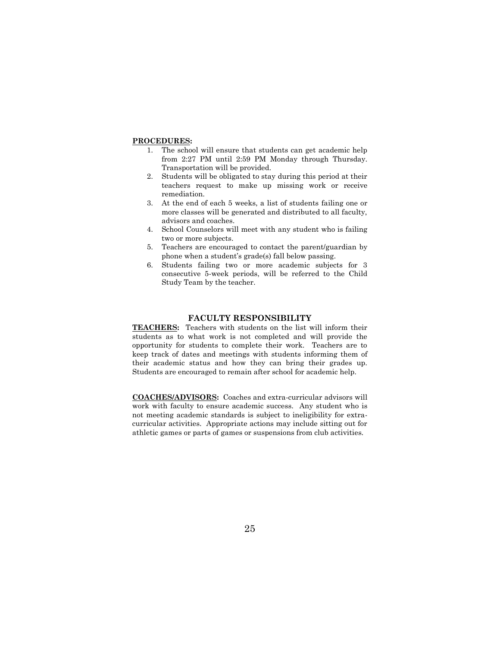#### **PROCEDURES:**

- 1. The school will ensure that students can get academic help from 2:27 PM until 2:59 PM Monday through Thursday. Transportation will be provided.
- 2. Students will be obligated to stay during this period at their teachers request to make up missing work or receive remediation.
- 3. At the end of each 5 weeks, a list of students failing one or more classes will be generated and distributed to all faculty, advisors and coaches.
- 4. School Counselors will meet with any student who is failing two or more subjects.
- 5. Teachers are encouraged to contact the parent/guardian by phone when a student's grade(s) fall below passing.
- 6. Students failing two or more academic subjects for 3 consecutive 5-week periods, will be referred to the Child Study Team by the teacher.

# **FACULTY RESPONSIBILITY**

**TEACHERS:** Teachers with students on the list will inform their students as to what work is not completed and will provide the opportunity for students to complete their work. Teachers are to keep track of dates and meetings with students informing them of their academic status and how they can bring their grades up. Students are encouraged to remain after school for academic help.

**COACHES/ADVISORS:** Coaches and extra-curricular advisors will work with faculty to ensure academic success. Any student who is not meeting academic standards is subject to ineligibility for extracurricular activities. Appropriate actions may include sitting out for athletic games or parts of games or suspensions from club activities.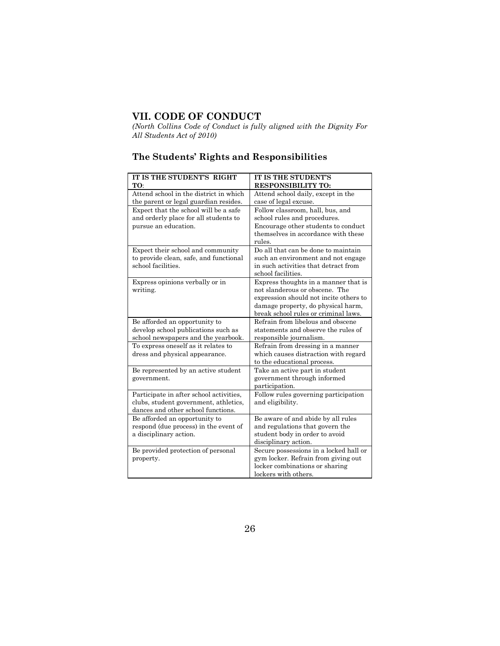# **VII. CODE OF CONDUCT**

*(North Collins Code of Conduct is fully aligned with the Dignity For All Students Act of 2010)*

# **The Students' Rights and Responsibilities**

| IT IS THE STUDENT'S RIGHT<br>TO:                                                                                       | <b>IT IS THE STUDENT'S</b><br><b>RESPONSIBILITY TO:</b>                                                                                                                                        |
|------------------------------------------------------------------------------------------------------------------------|------------------------------------------------------------------------------------------------------------------------------------------------------------------------------------------------|
| Attend school in the district in which<br>the parent or legal guardian resides.                                        | Attend school daily, except in the<br>case of legal excuse.                                                                                                                                    |
| Expect that the school will be a safe<br>and orderly place for all students to<br>pursue an education.                 | Follow classroom, hall, bus, and<br>school rules and procedures.<br>Encourage other students to conduct<br>themselves in accordance with these<br>rules.                                       |
| Expect their school and community<br>to provide clean, safe, and functional<br>school facilities.                      | Do all that can be done to maintain<br>such an environment and not engage<br>in such activities that detract from<br>school facilities.                                                        |
| Express opinions verbally or in<br>writing.                                                                            | Express thoughts in a manner that is<br>not slanderous or obscene. The<br>expression should not incite others to<br>damage property, do physical harm,<br>break school rules or criminal laws. |
| Be afforded an opportunity to<br>develop school publications such as<br>school newspapers and the yearbook.            | Refrain from libelous and obscene<br>statements and observe the rules of<br>responsible journalism.                                                                                            |
| To express oneself as it relates to<br>dress and physical appearance.                                                  | Refrain from dressing in a manner<br>which causes distraction with regard<br>to the educational process.                                                                                       |
| Be represented by an active student<br>government.                                                                     | Take an active part in student<br>government through informed<br>participation.                                                                                                                |
| Participate in after school activities,<br>clubs, student government, athletics,<br>dances and other school functions. | Follow rules governing participation<br>and eligibility.                                                                                                                                       |
| Be afforded an opportunity to<br>respond (due process) in the event of<br>a disciplinary action.                       | Be aware of and abide by all rules<br>and regulations that govern the<br>student body in order to avoid<br>disciplinary action.                                                                |
| Be provided protection of personal<br>property.                                                                        | Secure possessions in a locked hall or<br>gym locker. Refrain from giving out<br>locker combinations or sharing<br>lockers with others.                                                        |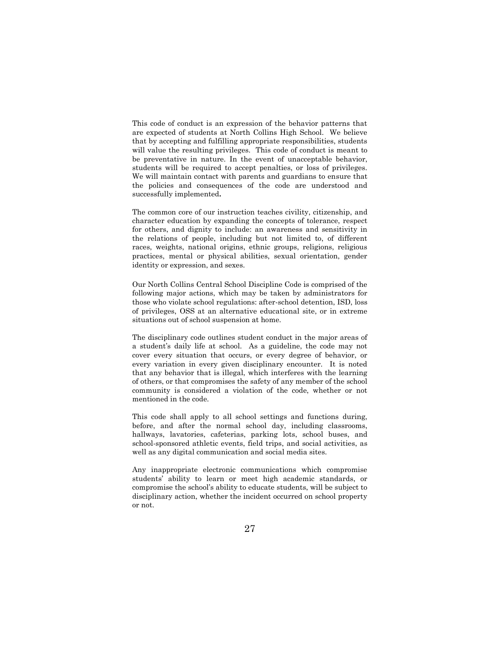This code of conduct is an expression of the behavior patterns that are expected of students at North Collins High School. We believe that by accepting and fulfilling appropriate responsibilities, students will value the resulting privileges. This code of conduct is meant to be preventative in nature. In the event of unacceptable behavior, students will be required to accept penalties, or loss of privileges. We will maintain contact with parents and guardians to ensure that the policies and consequences of the code are understood and successfully implemented**.**

The common core of our instruction teaches civility, citizenship, and character education by expanding the concepts of tolerance, respect for others, and dignity to include: an awareness and sensitivity in the relations of people, including but not limited to, of different races, weights, national origins, ethnic groups, religions, religious practices, mental or physical abilities, sexual orientation, gender identity or expression, and sexes.

Our North Collins Central School Discipline Code is comprised of the following major actions, which may be taken by administrators for those who violate school regulations: after-school detention, ISD, loss of privileges, OSS at an alternative educational site, or in extreme situations out of school suspension at home.

The disciplinary code outlines student conduct in the major areas of a student's daily life at school. As a guideline, the code may not cover every situation that occurs, or every degree of behavior, or every variation in every given disciplinary encounter. It is noted that any behavior that is illegal, which interferes with the learning of others, or that compromises the safety of any member of the school community is considered a violation of the code, whether or not mentioned in the code.

This code shall apply to all school settings and functions during, before, and after the normal school day, including classrooms, hallways, lavatories, cafeterias, parking lots, school buses, and school-sponsored athletic events, field trips, and social activities, as well as any digital communication and social media sites.

Any inappropriate electronic communications which compromise students' ability to learn or meet high academic standards, or compromise the school's ability to educate students, will be subject to disciplinary action, whether the incident occurred on school property or not.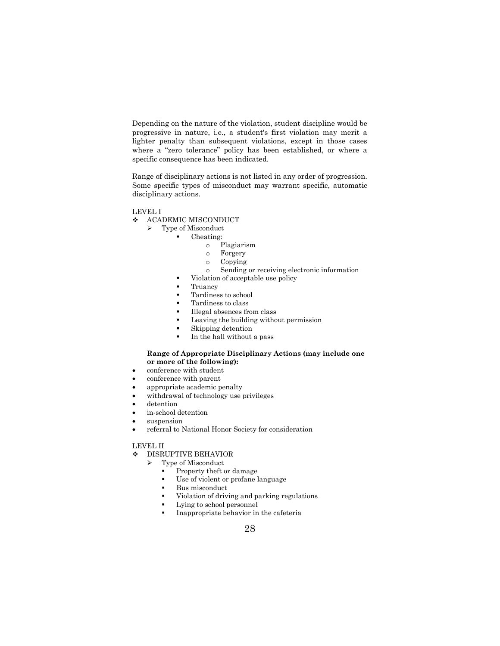Depending on the nature of the violation, student discipline would be progressive in nature, i.e., a student's first violation may merit a lighter penalty than subsequent violations, except in those cases where a "zero tolerance" policy has been established, or where a specific consequence has been indicated.

Range of disciplinary actions is not listed in any order of progression. Some specific types of misconduct may warrant specific, automatic disciplinary actions.

LEVEL I

- ❖ ACADEMIC MISCONDUCT
	- ➢ Type of Misconduct
		- Cheating:
			- o Plagiarism
			- o Forgery
			- o Copying
			- o Sending or receiving electronic information
			- Violation of acceptable use policy
		- **Truancy**
		- Tardiness to school
		- Tardiness to class
		- Illegal absences from class
		- Leaving the building without permission
		- Skipping detention
		- In the hall without a pass

#### **Range of Appropriate Disciplinary Actions (may include one or more of the following):**

- conference with student
- conference with parent
- appropriate academic penalty
- withdrawal of technology use privileges
- detention
- in-school detention
- suspension
- referral to National Honor Society for consideration

LEVEL II

#### ❖ DISRUPTIVE BEHAVIOR

- ➢ Type of Misconduct
	- Property theft or damage
	- Use of violent or profane language
	- Bus misconduct
	- Violation of driving and parking regulations
	- Lying to school personnel
	- Inappropriate behavior in the cafeteria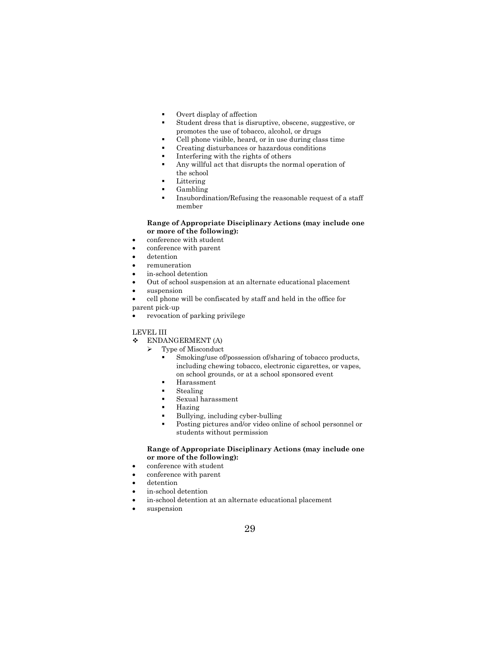- Overt display of affection
- Student dress that is disruptive, obscene, suggestive, or promotes the use of tobacco, alcohol, or drugs
- Cell phone visible, heard, or in use during class time
- Creating disturbances or hazardous conditions
- Interfering with the rights of others
- Any willful act that disrupts the normal operation of the school
- Littering
- Gambling
- Insubordination/Refusing the reasonable request of a staff member

#### **Range of Appropriate Disciplinary Actions (may include one or more of the following):**

- conference with student
- conference with parent
- detention
- remuneration
- in-school detention
- Out of school suspension at an alternate educational placement
- suspension
- cell phone will be confiscated by staff and held in the office for
- parent pick-up
- revocation of parking privilege

### LEVEL III

- ❖ ENDANGERMENT (A)
	- ➢ Type of Misconduct
		- Smoking/use of/possession of/sharing of tobacco products, including chewing tobacco, electronic cigarettes, or vapes, on school grounds, or at a school sponsored event
		- **Harassment**
		- Stealing
		- Sexual harassment
		- **Hazing**
		- Bullying, including cyber-bulling
		- Posting pictures and/or video online of school personnel or students without permission

### **Range of Appropriate Disciplinary Actions (may include one or more of the following):**

- conference with student
- conference with parent
- detention
- in-school detention
- in-school detention at an alternate educational placement
- suspension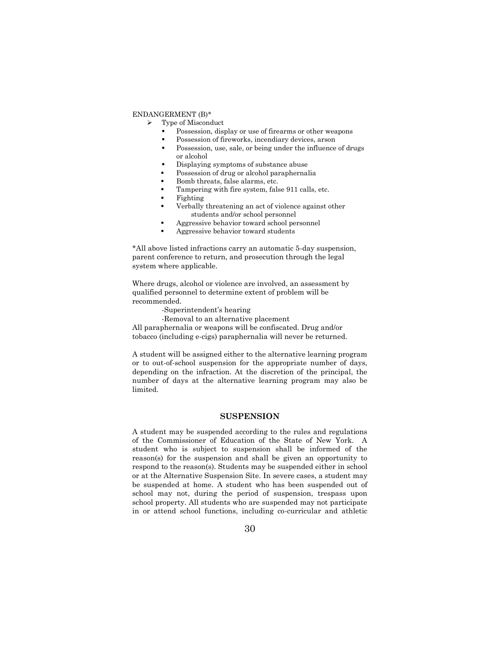### ENDANGERMENT (B)\*

- ➢ Type of Misconduct
	- Possession, display or use of firearms or other weapons
	- Possession of fireworks, incendiary devices, arson
	- Possession, use, sale, or being under the influence of drugs or alcohol
	- Displaying symptoms of substance abuse
	- Possession of drug or alcohol paraphernalia
	- Bomb threats, false alarms, etc.
	- Tampering with fire system, false 911 calls, etc.
	- **Fighting**
	- Verbally threatening an act of violence against other students and/or school personnel
	- Aggressive behavior toward school personnel
	- Aggressive behavior toward students

\*All above listed infractions carry an automatic 5-day suspension, parent conference to return, and prosecution through the legal system where applicable.

Where drugs, alcohol or violence are involved, an assessment by qualified personnel to determine extent of problem will be recommended.

- -Superintendent's hearing
- -Removal to an alternative placement

All paraphernalia or weapons will be confiscated. Drug and/or tobacco (including e-cigs) paraphernalia will never be returned.

A student will be assigned either to the alternative learning program or to out-of-school suspension for the appropriate number of days, depending on the infraction. At the discretion of the principal, the number of days at the alternative learning program may also be limited.

### **SUSPENSION**

A student may be suspended according to the rules and regulations of the Commissioner of Education of the State of New York. A student who is subject to suspension shall be informed of the reason(s) for the suspension and shall be given an opportunity to respond to the reason(s). Students may be suspended either in school or at the Alternative Suspension Site. In severe cases, a student may be suspended at home. A student who has been suspended out of school may not, during the period of suspension, trespass upon school property. All students who are suspended may not participate in or attend school functions, including co-curricular and athletic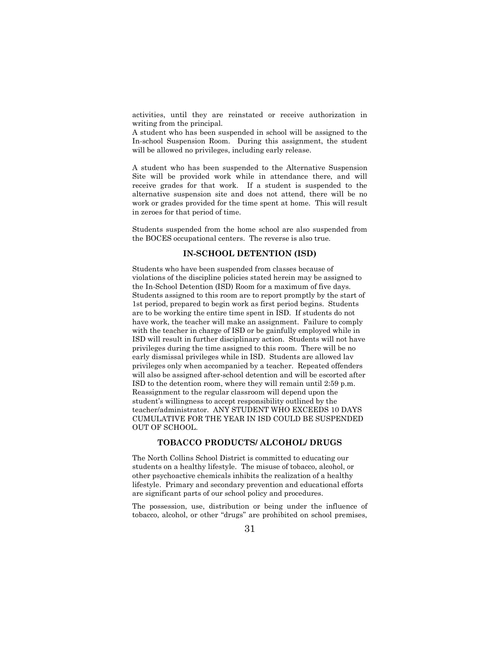activities, until they are reinstated or receive authorization in writing from the principal.

A student who has been suspended in school will be assigned to the In-school Suspension Room. During this assignment, the student will be allowed no privileges, including early release.

A student who has been suspended to the Alternative Suspension Site will be provided work while in attendance there, and will receive grades for that work. If a student is suspended to the alternative suspension site and does not attend, there will be no work or grades provided for the time spent at home. This will result in zeroes for that period of time.

Students suspended from the home school are also suspended from the BOCES occupational centers. The reverse is also true.

# **IN-SCHOOL DETENTION (ISD)**

Students who have been suspended from classes because of violations of the discipline policies stated herein may be assigned to the In-School Detention (ISD) Room for a maximum of five days. Students assigned to this room are to report promptly by the start of 1st period, prepared to begin work as first period begins. Students are to be working the entire time spent in ISD. If students do not have work, the teacher will make an assignment. Failure to comply with the teacher in charge of ISD or be gainfully employed while in ISD will result in further disciplinary action. Students will not have privileges during the time assigned to this room. There will be no early dismissal privileges while in ISD. Students are allowed lav privileges only when accompanied by a teacher. Repeated offenders will also be assigned after-school detention and will be escorted after ISD to the detention room, where they will remain until 2:59 p.m. Reassignment to the regular classroom will depend upon the student's willingness to accept responsibility outlined by the teacher/administrator. ANY STUDENT WHO EXCEEDS 10 DAYS CUMULATIVE FOR THE YEAR IN ISD COULD BE SUSPENDED OUT OF SCHOOL.

# **TOBACCO PRODUCTS/ ALCOHOL/ DRUGS**

The North Collins School District is committed to educating our students on a healthy lifestyle. The misuse of tobacco, alcohol, or other psychoactive chemicals inhibits the realization of a healthy lifestyle. Primary and secondary prevention and educational efforts are significant parts of our school policy and procedures.

The possession, use, distribution or being under the influence of tobacco, alcohol, or other "drugs" are prohibited on school premises,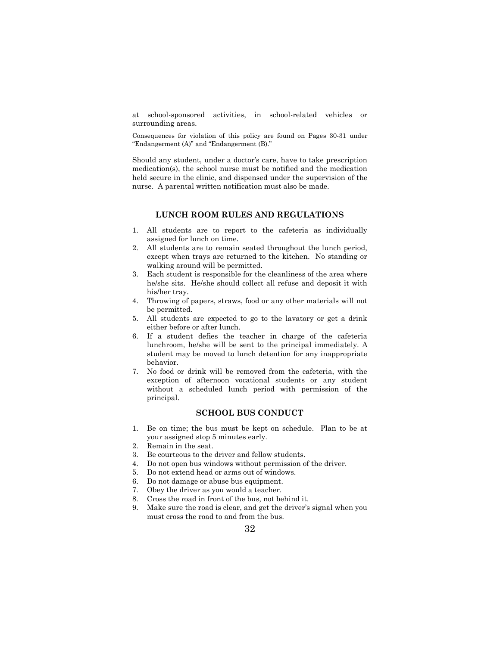at school-sponsored activities, in school-related vehicles or surrounding areas.

Consequences for violation of this policy are found on Pages 30-31 under "Endangerment (A)" and "Endangerment (B)."

Should any student, under a doctor's care, have to take prescription medication(s), the school nurse must be notified and the medication held secure in the clinic, and dispensed under the supervision of the nurse. A parental written notification must also be made.

# **LUNCH ROOM RULES AND REGULATIONS**

- 1. All students are to report to the cafeteria as individually assigned for lunch on time.
- 2. All students are to remain seated throughout the lunch period, except when trays are returned to the kitchen. No standing or walking around will be permitted.
- 3. Each student is responsible for the cleanliness of the area where he/she sits. He/she should collect all refuse and deposit it with his/her tray.
- 4. Throwing of papers, straws, food or any other materials will not be permitted.
- 5. All students are expected to go to the lavatory or get a drink either before or after lunch.
- 6. If a student defies the teacher in charge of the cafeteria lunchroom, he/she will be sent to the principal immediately. A student may be moved to lunch detention for any inappropriate behavior.
- 7. No food or drink will be removed from the cafeteria, with the exception of afternoon vocational students or any student without a scheduled lunch period with permission of the principal.

# **SCHOOL BUS CONDUCT**

- 1. Be on time; the bus must be kept on schedule. Plan to be at your assigned stop 5 minutes early.
- 2. Remain in the seat.
- 3. Be courteous to the driver and fellow students.
- 4. Do not open bus windows without permission of the driver.
- 5. Do not extend head or arms out of windows.
- 6. Do not damage or abuse bus equipment.
- 7. Obey the driver as you would a teacher.
- 8. Cross the road in front of the bus, not behind it.
- 9. Make sure the road is clear, and get the driver's signal when you must cross the road to and from the bus.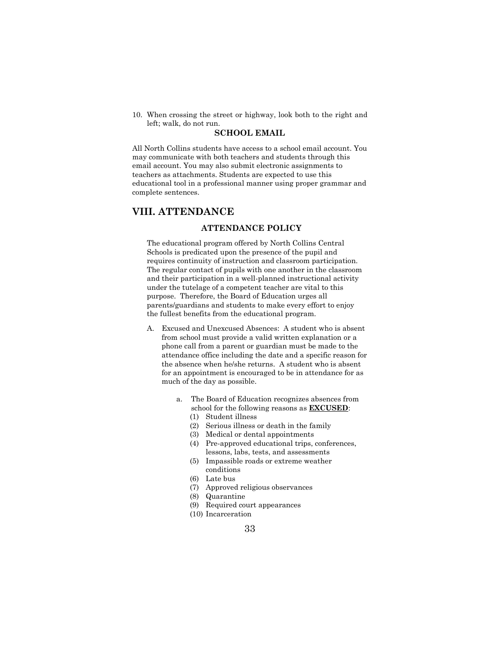10. When crossing the street or highway, look both to the right and left; walk, do not run.

#### **SCHOOL EMAIL**

All North Collins students have access to a school email account. You may communicate with both teachers and students through this email account. You may also submit electronic assignments to teachers as attachments. Students are expected to use this educational tool in a professional manner using proper grammar and complete sentences.

# **VIII. ATTENDANCE**

# **ATTENDANCE POLICY**

The educational program offered by North Collins Central Schools is predicated upon the presence of the pupil and requires continuity of instruction and classroom participation. The regular contact of pupils with one another in the classroom and their participation in a well-planned instructional activity under the tutelage of a competent teacher are vital to this purpose. Therefore, the Board of Education urges all parents/guardians and students to make every effort to enjoy the fullest benefits from the educational program.

- A. Excused and Unexcused Absences: A student who is absent from school must provide a valid written explanation or a phone call from a parent or guardian must be made to the attendance office including the date and a specific reason for the absence when he/she returns. A student who is absent for an appointment is encouraged to be in attendance for as much of the day as possible.
	- a. The Board of Education recognizes absences from school for the following reasons as **EXCUSED**:
		- (1) Student illness
		- (2) Serious illness or death in the family
		- (3) Medical or dental appointments
		- (4) Pre-approved educational trips, conferences, lessons, labs, tests, and assessments
		- (5) Impassible roads or extreme weather conditions
		- (6) Late bus
		- (7) Approved religious observances
		- (8) Quarantine
		- (9) Required court appearances
		- (10) Incarceration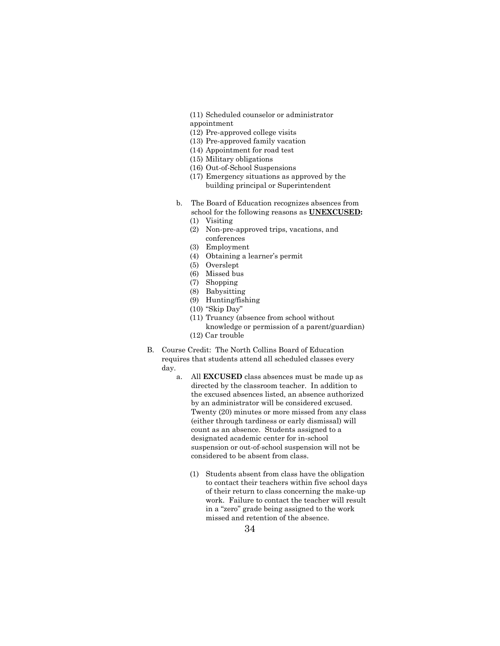(11) Scheduled counselor or administrator appointment

- (12) Pre-approved college visits
- (13) Pre-approved family vacation
- (14) Appointment for road test
- (15) Military obligations
- (16) Out-of-School Suspensions
- (17) Emergency situations as approved by the building principal or Superintendent
- b. The Board of Education recognizes absences from school for the following reasons as **UNEXCUSED:**
	- (1) Visiting
	- (2) Non-pre-approved trips, vacations, and conferences
	- (3) Employment
	- (4) Obtaining a learner's permit
	- (5) Overslept
	- (6) Missed bus
	- (7) Shopping
	- (8) Babysitting
	- (9) Hunting/fishing
	- (10) "Skip Day"
	- (11) Truancy (absence from school without knowledge or permission of a parent/guardian)
	- (12) Car trouble
- B. Course Credit: The North Collins Board of Education requires that students attend all scheduled classes every day.
	- a. All **EXCUSED** class absences must be made up as directed by the classroom teacher. In addition to the excused absences listed, an absence authorized by an administrator will be considered excused. Twenty (20) minutes or more missed from any class (either through tardiness or early dismissal) will count as an absence. Students assigned to a designated academic center for in-school suspension or out-of-school suspension will not be considered to be absent from class.
		- (1) Students absent from class have the obligation to contact their teachers within five school days of their return to class concerning the make-up work. Failure to contact the teacher will result in a "zero" grade being assigned to the work missed and retention of the absence.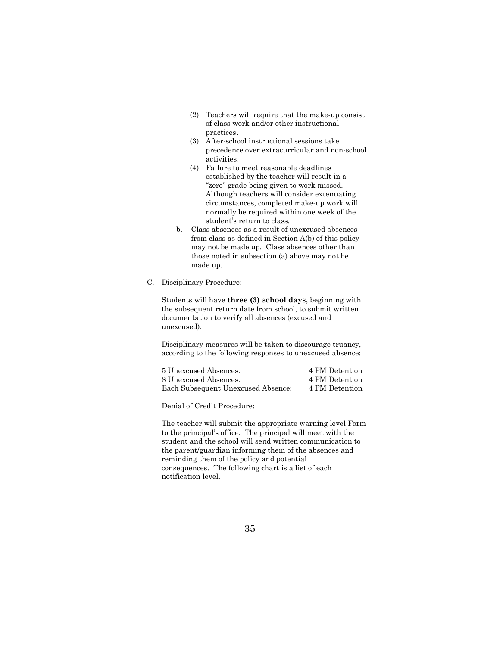- (2) Teachers will require that the make-up consist of class work and/or other instructional practices.
- (3) After-school instructional sessions take precedence over extracurricular and non-school activities.
- (4) Failure to meet reasonable deadlines established by the teacher will result in a "zero" grade being given to work missed. Although teachers will consider extenuating circumstances, completed make-up work will normally be required within one week of the student's return to class.
- b. Class absences as a result of unexcused absences from class as defined in Section A(b) of this policy may not be made up. Class absences other than those noted in subsection (a) above may not be made up.
- C. Disciplinary Procedure:

Students will have **three (3) school days**, beginning with the subsequent return date from school, to submit written documentation to verify all absences (excused and unexcused).

Disciplinary measures will be taken to discourage truancy, according to the following responses to unexcused absence:

| 5 Unexcused Absences:              | 4 PM Detention |
|------------------------------------|----------------|
| 8 Unexcused Absences:              | 4 PM Detention |
| Each Subsequent Unexcused Absence: | 4 PM Detention |

Denial of Credit Procedure:

The teacher will submit the appropriate warning level Form to the principal's office. The principal will meet with the student and the school will send written communication to the parent/guardian informing them of the absences and reminding them of the policy and potential consequences. The following chart is a list of each notification level.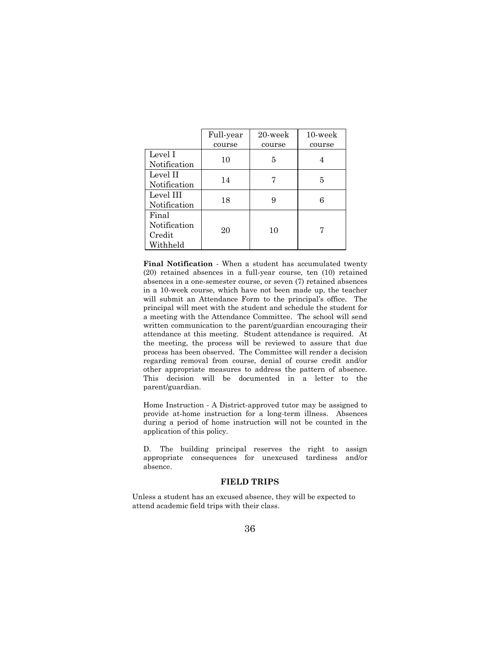|              | Full-year | 20-week | $10$ -week |
|--------------|-----------|---------|------------|
|              | course    | course  | course     |
| Level I      | 10        |         |            |
| Notification |           | 5       |            |
| Level II     | 14        |         | 5          |
| Notification |           |         |            |
| Level III    |           |         |            |
| Notification | 18        | 9       |            |
| Final        |           |         |            |
| Notification | 20        | 10      |            |
| Credit       |           |         |            |
| Withheld     |           |         |            |

**Final Notification** - When a student has accumulated twenty (20) retained absences in a full-year course, ten (10) retained absences in a one-semester course, or seven (7) retained absences in a 10-week course, which have not been made up, the teacher will submit an Attendance Form to the principal's office. The principal will meet with the student and schedule the student for a meeting with the Attendance Committee. The school will send written communication to the parent/guardian encouraging their attendance at this meeting. Student attendance is required. At the meeting, the process will be reviewed to assure that due process has been observed. The Committee will render a decision regarding removal from course, denial of course credit and/or other appropriate measures to address the pattern of absence. This decision will be documented in a letter to the parent/guardian.

Home Instruction - A District-approved tutor may be assigned to provide at-home instruction for a long-term illness. Absences during a period of home instruction will not be counted in the application of this policy.

D. The building principal reserves the right to assign appropriate consequences for unexcused tardiness and/or absence.

#### **FIELD TRIPS**

Unless a student has an excused absence, they will be expected to attend academic field trips with their class.